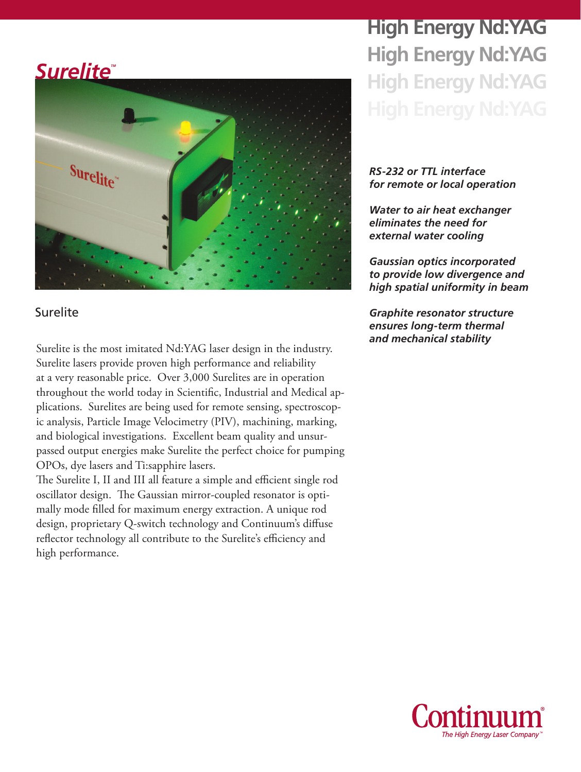### *Surelite*



#### Surelite

*and mechanical stability* Surelite is the most imitated Nd:YAG laser design in the industry. Surelite lasers provide proven high performance and reliability at a very reasonable price. Over 3,000 Surelites are in operation throughout the world today in Scientific, Industrial and Medical applications. Surelites are being used for remote sensing, spectroscopic analysis, Particle Image Velocimetry (PIV), machining, marking, and biological investigations. Excellent beam quality and unsurpassed output energies make Surelite the perfect choice for pumping OPOs, dye lasers and Ti:sapphire lasers.

The Surelite I, II and III all feature a simple and efficient single rod oscillator design. The Gaussian mirror-coupled resonator is optimally mode filled for maximum energy extraction. A unique rod design, proprietary Q-switch technology and Continuum's diffuse reflector technology all contribute to the Surelite's efficiency and high performance.

# **High Energy Nd:YAG High Energy Nd:YAG High Energy Nd:YAG**

#### *RS-232 or TTL interface for remote or local operation*

*Water to air heat exchanger eliminates the need for external water cooling*

*Gaussian optics incorporated to provide low divergence and high spatial uniformity in beam*

*Graphite resonator structure ensures long-term thermal* 

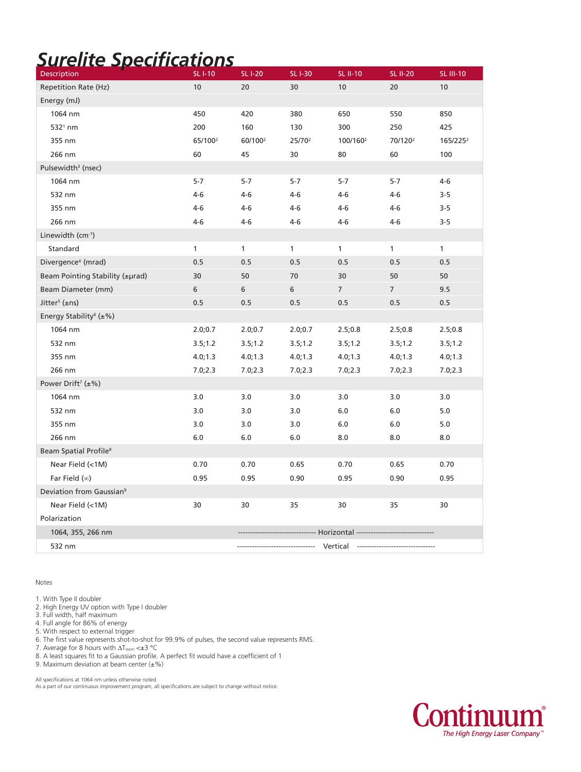## *Surelite Specifications*

| Description                              | <b>SLI-10</b>       | <b>SLI-20</b>                  | <b>SL I-30</b>     | <b>SL II-10</b>      | <b>SL II-20</b>     | <b>SL III-10</b>     |
|------------------------------------------|---------------------|--------------------------------|--------------------|----------------------|---------------------|----------------------|
| Repetition Rate (Hz)                     | 10                  | 20                             | 30                 | 10                   | 20                  | 10                   |
| Energy (mJ)                              |                     |                                |                    |                      |                     |                      |
| 1064 nm                                  | 450                 | 420                            | 380                | 650                  | 550                 | 850                  |
| $5321$ nm                                | 200                 | 160                            | 130                | 300                  | 250                 | 425                  |
| 355 nm                                   | 65/100 <sup>2</sup> | 60/100 <sup>2</sup>            | 25/70 <sup>2</sup> | 100/160 <sup>2</sup> | 70/120 <sup>2</sup> | 165/225 <sup>2</sup> |
| 266 nm                                   | 60                  | 45                             | 30                 | 80                   | 60                  | 100                  |
| Pulsewidth <sup>3</sup> (nsec)           |                     |                                |                    |                      |                     |                      |
| 1064 nm                                  | $5 - 7$             | $5-7$                          | $5 - 7$            | $5 - 7$              | $5-7$               | $4 - 6$              |
| 532 nm                                   | $4-6$               | $4-6$                          | $4 - 6$            | $4 - 6$              | $4 - 6$             | $3 - 5$              |
| 355 nm                                   | $4-6$               | $4-6$                          | $4 - 6$            | $4 - 6$              | 4-6                 | $3 - 5$              |
| 266 nm                                   | $4 - 6$             | 4-6                            | $4 - 6$            | $4 - 6$              | 4-6                 | $3 - 5$              |
| Linewidth (cm <sup>-1</sup> )            |                     |                                |                    |                      |                     |                      |
| Standard                                 | $\mathbf{1}$        | 1                              | $\mathbf{1}$       | $\mathbf{1}$         | 1                   | $\mathbf{1}$         |
| Divergence <sup>4</sup> (mrad)           | 0.5                 | 0.5                            | 0.5                | 0.5                  | 0.5                 | 0.5                  |
| Beam Pointing Stability (±µrad)          | 30                  | 50                             | 70                 | 30                   | 50                  | 50                   |
| Beam Diameter (mm)                       | 6                   | 6                              | 6                  | $\overline{7}$       | 7                   | 9.5                  |
| Jitter <sup>5</sup> (±ns)                | 0.5                 | 0.5                            | 0.5                | 0.5                  | 0.5                 | 0.5                  |
| Energy Stability <sup>6</sup> ( $\pm$ %) |                     |                                |                    |                      |                     |                      |
| 1064 nm                                  | 2.0;0.7             | 2.0;0.7                        | 2.0;0.7            | 2.5;0.8              | 2.5;0.8             | 2.5;0.8              |
| 532 nm                                   | 3.5;1.2             | 3.5; 1.2                       | 3.5;1.2            | 3.5;1.2              | 3.5; 1.2            | 3.5;1.2              |
| 355 nm                                   | 4.0; 1.3            | 4.0; 1.3                       | 4.0; 1.3           | 4.0; 1.3             | 4.0; 1.3            | 4.0; 1.3             |
| 266 nm                                   | 7.0;2.3             | 7.0;2.3                        | 7.0;2.3            | 7.0;2.3              | 7.0;2.3             | 7.0;2.3              |
| Power Drift <sup>7</sup> $(\pm\%)$       |                     |                                |                    |                      |                     |                      |
| 1064 nm                                  | 3.0                 | 3.0                            | 3.0                | 3.0                  | 3.0                 | 3.0                  |
| 532 nm                                   | 3.0                 | 3.0                            | 3.0                | 6.0                  | 6.0                 | 5.0                  |
| 355 nm                                   | 3.0                 | 3.0                            | 3.0                | 6.0                  | 6.0                 | 5.0                  |
| 266 nm                                   | 6.0                 | 6.0                            | 6.0                | 8.0                  | 8.0                 | 8.0                  |
| Beam Spatial Profile <sup>8</sup>        |                     |                                |                    |                      |                     |                      |
| Near Field (<1M)                         | 0.70                | 0.70                           | 0.65               | 0.70                 | 0.65                | 0.70                 |
| Far Field $(\infty)$                     | 0.95                | 0.95                           | 0.90               | 0.95                 | 0.90                | 0.95                 |
| Deviation from Gaussian <sup>9</sup>     |                     |                                |                    |                      |                     |                      |
| Near Field (<1M)                         | 30                  | 30                             | 35                 | 30                   | 35                  | 30                   |
| Polarization                             |                     |                                |                    |                      |                     |                      |
| 1064, 355, 266 nm                        |                     | ----------------- Horizontal - |                    |                      |                     |                      |
| 532 nm                                   |                     |                                |                    | Vertical             |                     |                      |

Notes

1. With Type II doubler

2. High Energy UV option with Type I doubler

3. Full width, half maximum

4. Full angle for 86% of energy

5. With respect to external trigger

6. The first value represents shot-to-shot for 99.9% of pulses, the second value represents RMS.

7. Average for 8 hours with  $\Delta T_{\text{room}} < \pm 3$  °C

8. A least squares fit to a Gaussian profile. A perfect fit would have a coefficient of 1

9. Maximum deviation at beam center  $(\pm \%)$ 

All specifications at 1064 nm unless otherwise noted.

As a part of our continuous improvement program, all specifications are subject to change without notice.